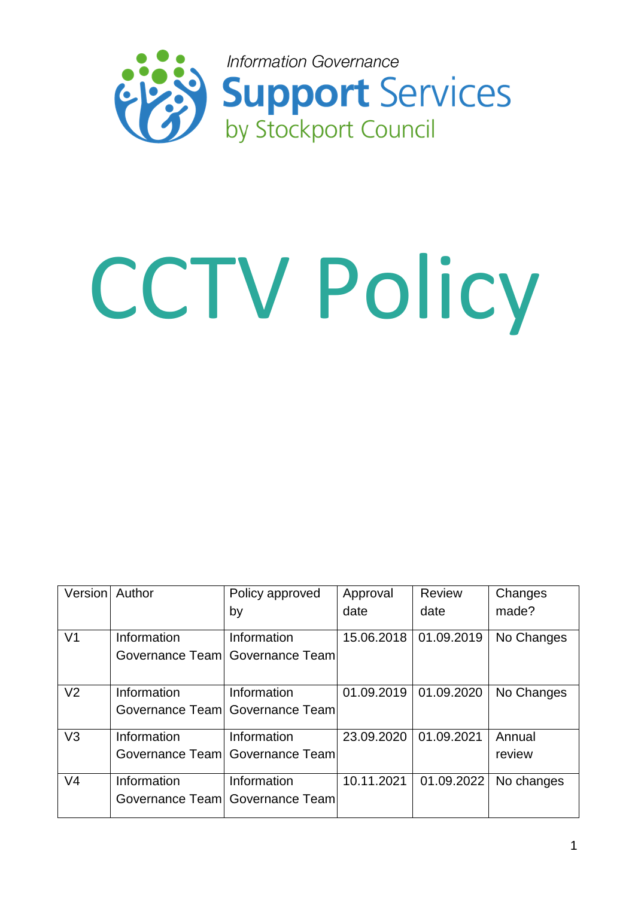

# CCTV Policy

| Version Author |             | Policy approved                   | Approval   | <b>Review</b> | Changes    |
|----------------|-------------|-----------------------------------|------------|---------------|------------|
|                |             | by                                | date       | date          | made?      |
| V <sub>1</sub> | Information | Information                       | 15.06.2018 | 01.09.2019    | No Changes |
|                |             | Governance Teaml Governance Teaml |            |               |            |
| V <sub>2</sub> | Information | Information                       | 01.09.2019 | 01.09.2020    | No Changes |
|                |             | Governance Teaml Governance Teaml |            |               |            |
| V <sub>3</sub> | Information | Information                       | 23.09.2020 | 01.09.2021    | Annual     |
|                |             | Governance Teaml Governance Teaml |            |               | review     |
| V <sub>4</sub> | Information | Information                       | 10.11.2021 | 01.09.2022    | No changes |
|                |             | Governance Teaml Governance Teaml |            |               |            |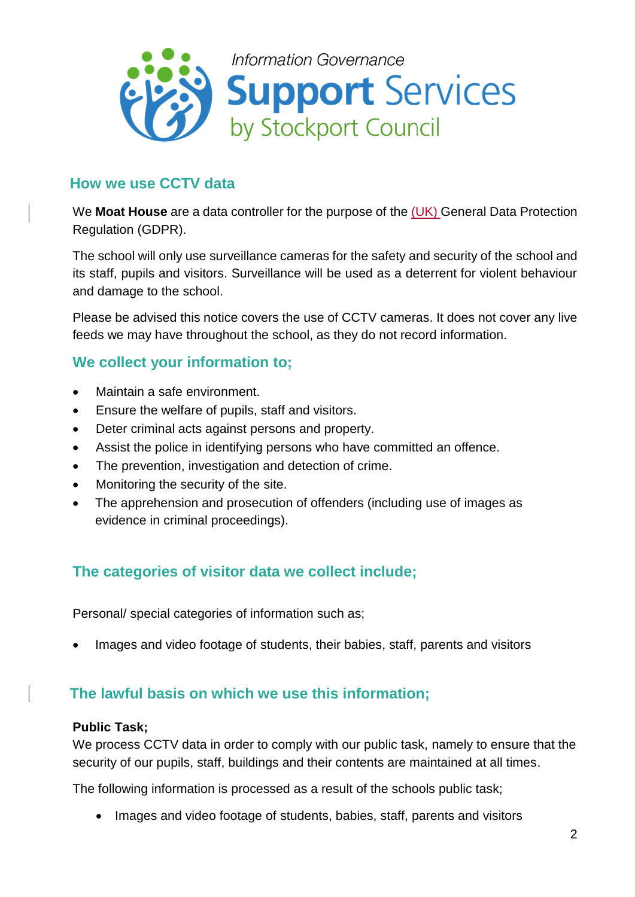

## **How we use CCTV data**

We **Moat House** are a data controller for the purpose of the (UK) General Data Protection Regulation (GDPR).

The school will only use surveillance cameras for the safety and security of the school and its staff, pupils and visitors. Surveillance will be used as a deterrent for violent behaviour and damage to the school.

Please be advised this notice covers the use of CCTV cameras. It does not cover any live feeds we may have throughout the school, as they do not record information.

## **We collect your information to;**

- Maintain a safe environment.
- Ensure the welfare of pupils, staff and visitors.
- Deter criminal acts against persons and property.
- Assist the police in identifying persons who have committed an offence.
- The prevention, investigation and detection of crime.
- Monitoring the security of the site.
- The apprehension and prosecution of offenders (including use of images as evidence in criminal proceedings).

# **The categories of visitor data we collect include;**

Personal/ special categories of information such as;

Images and video footage of students, their babies, staff, parents and visitors

## **The lawful basis on which we use this information;**

#### **Public Task;**

We process CCTV data in order to comply with our public task, namely to ensure that the security of our pupils, staff, buildings and their contents are maintained at all times.

The following information is processed as a result of the schools public task;

• Images and video footage of students, babies, staff, parents and visitors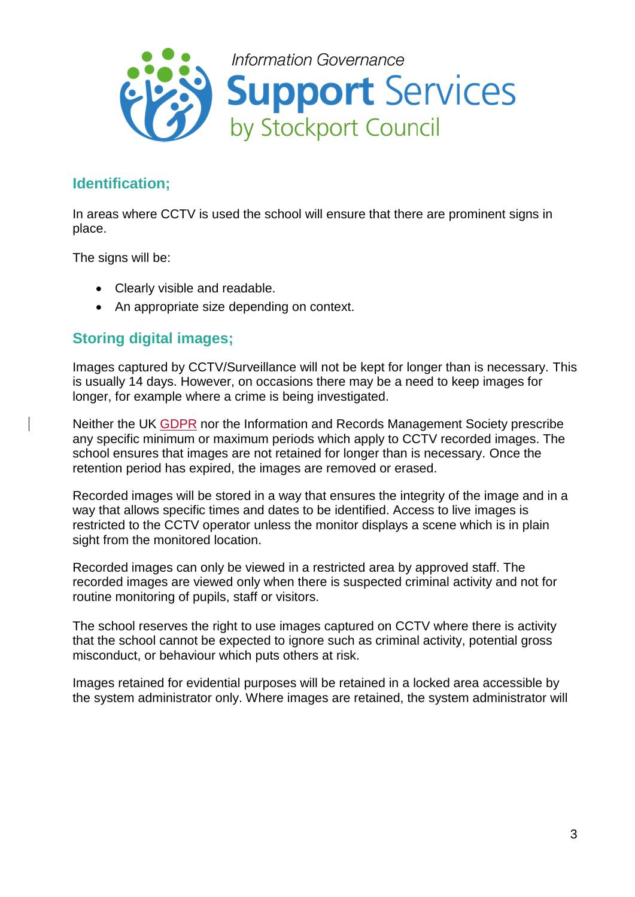

# **Identification;**

In areas where CCTV is used the school will ensure that there are prominent signs in place.

The signs will be:

- Clearly visible and readable.
- An appropriate size depending on context.

## **Storing digital images;**

Images captured by CCTV/Surveillance will not be kept for longer than is necessary. This is usually 14 days. However, on occasions there may be a need to keep images for longer, for example where a crime is being investigated.

Neither the UK GDPR nor the Information and Records Management Society prescribe any specific minimum or maximum periods which apply to CCTV recorded images. The school ensures that images are not retained for longer than is necessary. Once the retention period has expired, the images are removed or erased.

Recorded images will be stored in a way that ensures the integrity of the image and in a way that allows specific times and dates to be identified. Access to live images is restricted to the CCTV operator unless the monitor displays a scene which is in plain sight from the monitored location.

Recorded images can only be viewed in a restricted area by approved staff. The recorded images are viewed only when there is suspected criminal activity and not for routine monitoring of pupils, staff or visitors.

The school reserves the right to use images captured on CCTV where there is activity that the school cannot be expected to ignore such as criminal activity, potential gross misconduct, or behaviour which puts others at risk.

Images retained for evidential purposes will be retained in a locked area accessible by the system administrator only. Where images are retained, the system administrator will